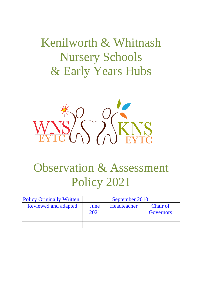Kenilworth & Whitnash Nursery Schools & Early Years Hubs



# Observation & Assessment Policy 2021

| <b>Policy Originally Written</b> | September 2010 |             |                                     |
|----------------------------------|----------------|-------------|-------------------------------------|
| <b>Reviewed and adapted</b>      | June<br>2021   | Headteacher | <b>Chair of</b><br><b>Governors</b> |
|                                  |                |             |                                     |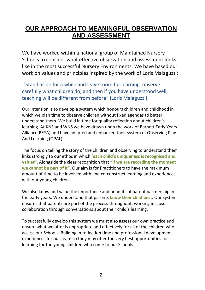## **OUR APPROACH TO MEANINGFUL OBSERVATION AND ASSESSMENT**

We have worked within a national group of Maintained Nursery Schools to consider what effective observation and assessment looks like in the most successful Nursery Environments. We have based our work on values and principles inspired by the work of Loris Malaguzzi:

"Stand aside for a while and leave room for learning, observe carefully what children do, and then if you have understood well, teaching will be different from before" (Loris Malaguzzi).

Our intention is to develop a system which honours children and childhood in which we plan time to observe children without fixed agendas to better understand them. We build in time for quality reflection about children's learning. At KNS and WNS we have drawn upon the work of Barnett Early Years Alliance(BEYA) and have adapted and enhanced their system of Observing Play And Learning (OPAL)

The focus on telling the story of the children and observing to understand them links strongly to our ethos in which **'each child's uniqueness is recognised and valued'.** Alongside the clear recognition that **"if we are recording the moment we cannot be part of it".** Our aim is for Practitioners to have the maximum amount of time to be involved with and co-construct learning and experiences with our young children.

We also know and value the importance and benefits of parent partnership in the early years. We understand that parents **know their child best**. Our system ensures that parents are part of the process throughout, working in close collaboration through conversations about their child's learning.

To successfully develop this system we must also assess our own practice and ensure what we offer is appropriate and effectively for all of the children who access our Schools. Building in reflection time and professional development experiences for our team so they may offer the very best opportunities for learning for the young children who come to our Schools.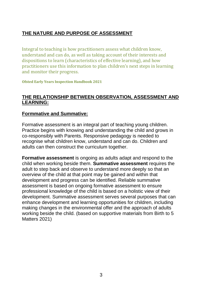## **THE NATURE AND PURPOSE OF ASSESSMENT**

Integral to teaching is how practitioners assess what children know, understand and can do, as well as taking account of their interests and dispositions to learn (characteristics of effective learning), and how practitioners use this information to plan children's next steps in learning and monitor their progress.

**Ofsted Early Years Inspection Handbook 2021**

#### **THE RELATIONSHIP BETWEEN OBSERVATION, ASSESSMENT AND LEARNING:**

#### **Formmative and Summative:**

Formative assessment is an integral part of teaching young children. Practice begins with knowing and understanding the child and grows in co-responsibly with Parents. Responsive pedagogy is needed to recognise what children know, understand and can do. Children and adults can then construct the curriculum together.

**Formative assessment** is ongoing as adults adapt and respond to the child when working beside them. **Summative assessment** requires the adult to step back and observe to understand more deeply so that an overview of the child at that point may be gained and within that development and progress can be identified. Reliable summative assessment is based on ongoing formative assessment to ensure professional knowledge of the child is based on a holistic view of their development. Summative assessment serves several purposes that can enhance development and learning opportunities for children, including making changes in the environmental offer and the approach of adults working beside the child. (based on supportive materials from Birth to 5 Matters 2021)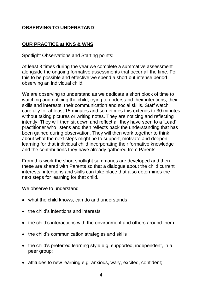## **OBSERVING TO UNDERSTAND**:

## **OUR PRACTICE at KNS & WNS**

Spotlight Observations and Starting points:

At least 3 times during the year we complete a summative assessment alongside the ongoing formative assessments that occur all the time. For this to be possible and effective we spend a short but intense period observing an individual child.

We are observing to understand as we dedicate a short block of time to watching and noticing the child, trying to understand their intentions, their skills and interests, their communication and social skills. Staff watch carefully for at least 15 minutes and sometimes this extends to 30 minutes without taking pictures or writing notes. They are noticing and reflecting intently. They will then sit down and reflect all they have seen to a 'Lead' practitioner who listens and then reflects back the understanding that has been gained during observation. They will then work together to think about what the next steps might be to support, motivate and deepen learning for that individual child incorporating their formative knowledge and the contributions they have already gathered from Parents.

From this work the short spotlight summaries are developed and then these are shared with Parents so that a dialogue about the child current interests, intentions and skills can take place that also determines the next steps for learning for that child.

#### We observe to understand

- what the child knows, can do and understands
- the child's intentions and interests
- the child's interactions with the environment and others around them
- the child's communication strategies and skills
- the child's preferred learning style e.g. supported, independent, in a peer group;
- attitudes to new learning e.g. anxious, wary, excited, confident;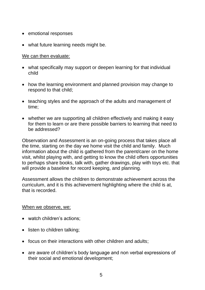- emotional responses
- what future learning needs might be.

#### We can then evaluate:

- what specifically may support or deepen learning for that individual child
- how the learning environment and planned provision may change to respond to that child;
- teaching styles and the approach of the adults and management of time;
- whether we are supporting all children effectively and making it easy for them to learn or are there possible barriers to learning that need to be addressed?

Observation and Assessment is an on-going process that takes place all the time, starting on the day we home visit the child and family. Much information about the child is gathered from the parent/carer on the home visit, whilst playing with, and getting to know the child offers opportunities to perhaps share books, talk with, gather drawings, play with toys etc. that will provide a baseline for record keeping, and planning.

Assessment allows the children to demonstrate achievement across the curriculum, and it is this achievement highlighting where the child is at, that is recorded.

#### When we observe, we:

- watch children's actions;
- listen to children talking;
- focus on their interactions with other children and adults;
- are aware of children's body language and non verbal expressions of their social and emotional development;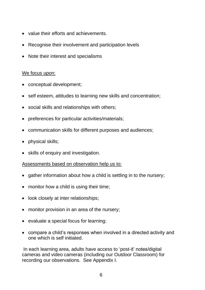- value their efforts and achievements.
- Recognise their involvement and participation levels
- Note their interest and specialisms

#### We focus upon:

- conceptual development;
- self esteem, attitudes to learning new skills and concentration;
- social skills and relationships with others;
- preferences for particular activities/materials;
- communication skills for different purposes and audiences;
- physical skills;
- skills of enquiry and investigation.

#### Assessments based on observation help us to:

- gather information about how a child is settling in to the nursery;
- monitor how a child is using their time;
- look closely at inter relationships;
- monitor provision in an area of the nursery;
- evaluate a special focus for learning;
- compare a child's responses when involved in a directed activity and one which is self initiated.

In each learning area, adults have access to 'post-it' notes/digital cameras and video cameras (including our Outdoor Classroom) for recording our observations. See Appendix I.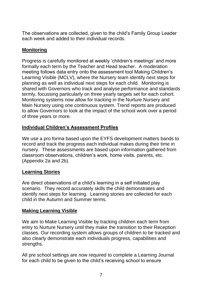The observations are collected, given to the child's Family Group Leader each week and added to their individual records.

## **Monitoring**

Progress is carefully monitored at weekly 'children's meetings' and more formally each term by the Teacher and Head teacher. A moderation meeting follows data entry onto the assessment tool Making Children's Learning Visible (MCLV), where the Nursery team identify next steps for planning as well as individual next steps for each child. Monitoring is shared with Governors who track and analyse performance and standards termly, focussing particularly on three yearly targets set for each cohort. Monitoring systems now allow for tracking in the Nurture Nursery and Main Nursery using one continuous system. Trend reports are produced to allow Governors to look at the impact of the school work over a period of three years or more.

## **Individual Children's Assessment Profiles**

We use a pro forma based upon the EYFS development matters bands to record and track the progress each individual makes during their time in nursery. These assessments are based upon information gathered from classroom observations, children's work, home visits, parents, etc. (Appendix 2a and 2b).

## **Learning Stories**

Are direct observations of a child's learning in a self initiated play scenario. They record accurately skills the child demonstrates and identify next steps for learning. Learning stories are collected for each child in the Autumn and Summer terms.

## **Making Learning Visible**

We aim to Make Learning Visible by tracking children each term from entry to Nurture Nursery until they make the transition to their Reception classes. Our recording system allows groups of children to be tracked and also clearly demonstrate each individuals progress, capabilities and strengths.

All pre school settings are now required to complete a Learning Journal for each child to be given to the child's receiving school to ensure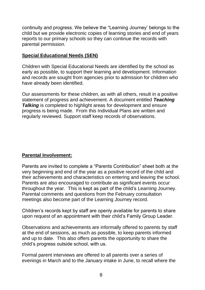continuity and progress. We believe the "Learning Journey' belongs to the child but we provide electronic copies of learning stories and end of years reports to our primary schools so they can continue the records with parental permission.

### **Special Educational Needs (SEN)**

Children with Special Educational Needs are identified by the school as early as possible, to support their learning and development. Information and records are sought from agencies prior to admission for children who have already been identified.

Our assessments for these children, as with all others, result in a positive statement of progress and achievement. A document entitled *Teaching* **Talking** is completed to highlight areas for development and ensure progress is being made. From this Individual Plans are written and regularly reviewed. Support staff keep records of observations.

## **Parental Involvement:**

Parents are invited to complete a "Parents Contribution" sheet both at the very beginning and end of the year as a positive record of the child and their achievements and characteristics on entering and leaving the school. Parents are also encouraged to contribute as significant events occur throughout the year. This is kept as part of the child's Learning Journey. Parental comments and questions from the February consultation meetings also become part of the Learning Journey record.

Children's records kept by staff are openly available for parents to share upon request of an appointment with their child's Family Group Leader.

Observations and achievements are informally offered to parents by staff at the end of sessions, as much as possible, to keep parents informed and up to date. This also offers parents the opportunity to share the child's progress outside school, with us.

Formal parent interviews are offered to all parents over a series of evenings in March and to the January intake in June, to recall where the